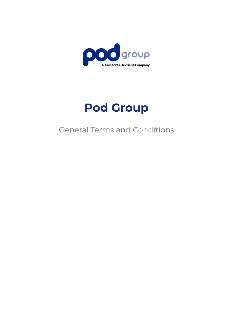

# **Pod Group**

## General Terms and Conditions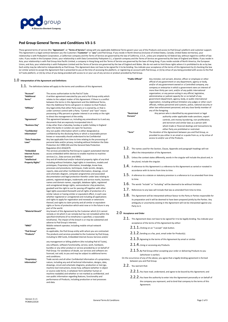

#### **Pod Group General Terms and Conditions V3-1-5**

These general terms of service (the "**Agreement**", or "**Terms of Service**") along with any applicable Additional Terms govern your use of the Products and access to Pod Group's platform and customer support.<br>This Agreement relationship is with Podsystem Corporation, a Californian company and the Terms of Service are governed by the law of California, U.S.A., unless pre-empted by US federal law, without regard to conflict of law rules. If you reside in the European Union, your relationship is with Data Connectivity Podsystem S.L, a Spanish company and the Terms of Service are governed by the laws of England and Wales. If you reside in<br>Asia, your r Union, and Asia, your relationship is with Podsystem Limited and the Terms of Service are governed by the law of England and Wales. We do not seek to limit those rights where it is prohibited to do so by law. Each entity may be referred to independently as Pod Group. This Agreement does not have to be signed for it to be binding. You indicate your acceptance of the terms of this Agreement by (i) checking the box<br>(or similar act IoT Suite platform, or (iii) by virtue of you being provided with access to or your use of any service or product provided by Pod Group.

#### 1.0 **Interpretation of the Agreement and Definitions**

1.1. The definitions below will apply to the terms and conditions of this Agreement.

| "Account"               | The access authorization to the Pod IoT Suite.                                                                                                                                                                                                                                                                                                        |
|-------------------------|-------------------------------------------------------------------------------------------------------------------------------------------------------------------------------------------------------------------------------------------------------------------------------------------------------------------------------------------------------|
| "Additional             | A written agreement executed by you and a Pod Group entity which                                                                                                                                                                                                                                                                                      |
| Terms"                  | relates to the subject matter of this Agreement. If there is a conflict                                                                                                                                                                                                                                                                               |
| "Affiliate"             | between the terms in this Agreement and the Additional Terms,<br>then the Additional Terms will govern in relation to that Product.<br>Any legal entity that either Party owns or is owned by, or that is<br>under common control with a Party. "Control" and "own" means<br>possessing a fifty percent or greater interest in an entity or the right |
| "Agreement"             | to direct the management of the entity.<br>This agreement between us, including any amendment to it and any<br>documents that are expressly incorporated into it.                                                                                                                                                                                     |
| "Business Day"          | A day other than a Saturday, Sunday or public holiday in England<br>when the banks in London are open for business.                                                                                                                                                                                                                                   |
| "Confidential           | Any non-public information which is either designated as                                                                                                                                                                                                                                                                                              |
| Information"            | confidential by the disclosing Party or which a reasonable person<br>knows or reasonably should understand to be Confidential                                                                                                                                                                                                                         |
| "Data Protection        | Any law applicable from time to time relating to the processing of                                                                                                                                                                                                                                                                                    |
| Laws"                   | personal data and/or privacy, including without limitation the Data<br>Protection Act 1998 (UK) and the General Data Protection                                                                                                                                                                                                                       |
| "Embedded               | Regulation (EU) 2016/679.<br>The services provided by Pod Group to support automated internet                                                                                                                                                                                                                                                         |
| <b>Internet Access</b>  | access embedded within devices to enable machine to machine                                                                                                                                                                                                                                                                                           |
| Services"               | services (i.e., Data services and SMS).                                                                                                                                                                                                                                                                                                               |
| "Intellectual           | Any and all intellectual and/or industrial property rights of any kind                                                                                                                                                                                                                                                                                |
| <b>Property Rights"</b> | including without limitation, legal rights in inventions, models and                                                                                                                                                                                                                                                                                  |
|                         | prototypes, Proprietary Information, knowledge, know-how,                                                                                                                                                                                                                                                                                             |
|                         | processes and procedures, techniques, trade secrets, designs,                                                                                                                                                                                                                                                                                         |
|                         | reports, data and other Confidential Information, drawings, circuit                                                                                                                                                                                                                                                                                   |
|                         | and schematic diagram, computer programmes and associated                                                                                                                                                                                                                                                                                             |
|                         | documentation and legal protection therefor under laws relating to                                                                                                                                                                                                                                                                                    |
|                         | patents, registered designs, trademarks and service marks, business                                                                                                                                                                                                                                                                                   |
|                         | names and domain names, copyright, database rights, registered                                                                                                                                                                                                                                                                                        |
|                         | and unregistered design rights, semiconductor chip protection,<br>goodwill and the right to sue for passing off together with other                                                                                                                                                                                                                   |
|                         | legal rights associated therewith and all rights of protection of a                                                                                                                                                                                                                                                                                   |
|                         | similar nature or having similar or equivalent effect, in each case                                                                                                                                                                                                                                                                                   |
|                         | whether registered or unregistered and including all applications                                                                                                                                                                                                                                                                                     |
|                         | and rights to apply for registration and renewals or extensions                                                                                                                                                                                                                                                                                       |
|                         | thereof, and rights to claim priority and all similar or equivalent                                                                                                                                                                                                                                                                                   |
|                         | rights or forms of protection which exist now or in the future in any                                                                                                                                                                                                                                                                                 |
|                         | part of the world.                                                                                                                                                                                                                                                                                                                                    |
| "Material Breach"       | Any breach of this Agreement by the Customer which (i) it cannot                                                                                                                                                                                                                                                                                      |
|                         | remedy or (ii) which it can remedy but has not remedied within the                                                                                                                                                                                                                                                                                    |
|                         | specified timeframe (if no timeframe is specified, a reasonable                                                                                                                                                                                                                                                                                       |
|                         | timeframe). The impact of the breach is or may be substantial and                                                                                                                                                                                                                                                                                     |
| "MNO"                   | adverse to Pod Group's interests.<br>Mobile network operator, including mobile virtual network                                                                                                                                                                                                                                                        |
|                         | operators.                                                                                                                                                                                                                                                                                                                                            |
| "Pod Group"             | As applicable, the Pod Group entity with whom you are contracted.                                                                                                                                                                                                                                                                                     |
| "Products"              | The products and services provided to the Customer by Pod Group,                                                                                                                                                                                                                                                                                      |
|                         | including to SIM Cards, Embedded Internet Access Services and/or                                                                                                                                                                                                                                                                                      |
|                         | any management or billing platform (the including Pod IoT Suite),                                                                                                                                                                                                                                                                                     |
|                         | any software, software functionality, service, work, hardware,                                                                                                                                                                                                                                                                                        |
|                         | bundles or any other product or service provided by or on behalf of                                                                                                                                                                                                                                                                                   |
|                         | Pod Group. For avoidance of doubt, our services and software are                                                                                                                                                                                                                                                                                      |
|                         | licenced, not sold, to you and may be subject to additional terms                                                                                                                                                                                                                                                                                     |
|                         | and conditions.                                                                                                                                                                                                                                                                                                                                       |
| "Proprietary            | Trade secrets and all other Confidential Information of a proprietary                                                                                                                                                                                                                                                                                 |
| Information"            | nature, including any and all technical information, designs, data,                                                                                                                                                                                                                                                                                   |
|                         | drawings, circuit and schematic diagrams, production or test jigs,                                                                                                                                                                                                                                                                                    |
|                         | machine tool instructions, know-how, software (whether in object                                                                                                                                                                                                                                                                                      |
|                         | or source code form), in whatever form (whether human or                                                                                                                                                                                                                                                                                              |
|                         | machine readable) and whether or not marked as confidential, and                                                                                                                                                                                                                                                                                      |
|                         | non-public information regarding features, functionality and                                                                                                                                                                                                                                                                                          |
|                         | performance of Products, including production or test processes<br>and data.                                                                                                                                                                                                                                                                          |
|                         |                                                                                                                                                                                                                                                                                                                                                       |

**"Public Official"** Any minister, civil servant, director, officer or employee or other official of any government or any department, agency or body, and/or of any government-owned or a Controlled company, any company or enterprise in which a government owns an interest of more than thirty per cent, and/or of any public international organization; or any person acting in any official, legislative, administrative or judicial capacity for or on behalf of any government department, agency, body, or public international organization, including without limitation any judges or other court officials, military personnel and customs, police, national security or other law enforcement personnel; and any close family member of any of the foregoing. Any person who is identified by any government or legal

**Persons"** authority under applicable trade sanctions, export controls, anti-money laundering, non-proliferation, anti-terrorism and similar laws as a person with whom trade or financial dealings and transactions by either Party are prohibited or restricted. **"Term"** The duration of the Agreement between you and Pod Group, as provided to you either in an email or a quote from us, or by virtue of access to and/or use of the Products.

- 1.2. The names used for the Section, Clause, Appendix and paragraph headings will not affect the interpretation of the Agreement.
- 1.3. Unless the context states differently, words in the singular will include the plural and, in the plural, include the singular.
- $1.4.$  A reference to this Agreement is a reference to this Agreement as varied or novated in accordance with its terms from time to time.
- 1.5. A reference to a statute or statutory provision is a reference to it as amended from time to time.
- 1.6. The words "include" or "including" will be deemed to be without limitation.
- 1.7. References to any laws will include that law as amended from time to time.
- 1.8. This Agreement will be interpreted without favour to the Party or Parties responsible for its preparation and it will be deemed to have been prepared jointly by the Parties. Any ambiguity or uncertainty existing in the Agreement will not be interpreted against any Party to it.

#### 2.0 **Acceptance and Order**

**"Restricted**

- 2.1. This Agreement does not have to be signed for it to be legally binding. You indicate your acceptance of the terms of this Agreement by either:
	- 2.1.1. Clicking on an "I accept" style button.
	- $2.1.2$ . Sending us a fax, post, email order for Product(s).
	- 2.1.3. Agreeing to the terms of this Agreement by email or similar.
	- 2.1.4. Using or accessing any Products.

 $2.1.5$  . By Pod Group either accepting your order or delivering Products to you (whichever is earlier).

On the occurrence of any of the above, you agree that a legally binding agreement is formed between you and Pod Group.

- 2.2. You warrant that:
	- 2.2.1. You have read, understand, and agree to be bound by this Agreement; and
	- 2.2.2. You have the authority to enter into the Agreement personally or on behalf of the company you represent, and to bind that company to the terms of this Agreement.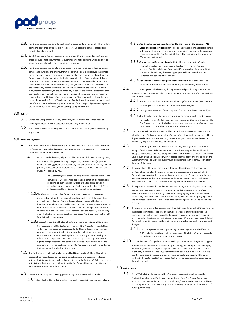

- 2.3. Pod Group reserves the right, To work with the customer to incrementally fill an order if delivering all at once isn't possible. If the order is unrelated to services that Pod can provide it can be rejected.
- 2.4. Conflicting, inconsistent, or additional terms or conditions contained in any Customer order (or supporting documentation) submitted will not be binding unless Pod Group specifically accepts such terms or conditions in writing.
- 2.5. Pod Group reserves the right to change these terms and conditions including, terms of service, and our plans and pricing, from time to time. Pod Group reserves the right to modify or cancel our service or your account or take corrective action at any time and for any reason, including, but not limited to, your violation of any provision of these terms and conditions, changes in roaming agreements. Where possible Pod Group will try to provide at least 30 days notice of any changes to the terms or to the service. In the event of any change to service, Pod Group will work with the customer in good faith, making best efforts, to ensure continuity of service assisting the customer either technically or commercially to deploy an alternative where possible even if requiring cooperation with third party. You should look at the Terms regularly. Unless otherwise noted, the amended Terms of Service will be effective immediately and your continued use of the Products will confirm your acceptance of the changes. If you do not agree to the amended Terms of Service, you must stop using our Products.

#### 3.0 **Delivery**

- 3.1. Unless Pod Group agrees in writing otherwise, the Customer will bear all costs of shipping the Products to the Customer, including any re-deliveries.
- 3.2. Pod Group will bear no liability, consequential or otherwise for any delay in delivering any Product.

#### 4.0 **Prices and Payments**

- 4.1. The prices and Term for the Products quoted in conversation or email to the Customer, or if no email or quote has been provided, as advertised at [www.podgroup.com](http://www.podgroup.com/) or any other website operated by Pod Group.
	- $4.1.1.$  Unless stated otherwise, all prices will be exclusive of all taxes, including sales, use or withholding taxes, banking charges, VAT, customs duties (import and export) or levies, general or extraordinary tariffs or other assessments, and any permits, licences or other authorisations ("Taxes and Duties"). All Taxes and Duties will be paid by you.
		- i. The Customer agrees that Pod Group will be entitled to pass on, and the Customer will (absent an applicable exemption) be responsible for paying, all such Taxes and Duties arising as a result of, or in connection with, its use of the Products, provided that each Party will be responsible for its own income and corporate taxes.
	- $4.1.2$ . The Customer is responsible for paying all charges posted to its account, including but not limited to, signup fee, activation fee, monthly service fee, usage charges, advanced feature charges, device charges, shipping and handling, taxes, charges incurred by your customers or any end-user connected with its account and the Products provided to it. Pod Group calculates all rates at a minimum of one KiloBite (KB) depending upon the network, commencing upon the first use of any services being provided. Pod Group reserves the right to bill at higher increments.
	- $4.1.3$  . If respect of the United States, all state and federal sales taxes will be strictly the responsibility of the Customer. If you resell the Products or include them within your own customer services and offer them independent of a direct consumer use, you must collect the appropriate sales taxes from your customers. If you are not reselling the Products, it is your responsibility to inform us and to pay the sales taxes to Pod Group. Pod Group reserves the right to charge sales taxes or historic sales taxes to any customer where the appropriate form has not been provided to Pod Group, in which it is confirmed that you are paying all relevant sales taxes
- 4.2. The Customer agrees to indemnify and hold Pod Group (and its Affiliates) harmless against all damages, losses, claims, liabilities, settlements and expenses (including without limitation costs and legal fees) connected with the Customer's failure to comply with its tax obligations, and its failure to notify Pod Group of its requirement to pay sales taxes connected with the Products
- 4.3. Unless otherwise agreed in writing, payments by the Customer will be made:
	- 4.3.1. For physical SIM cards (including commissioning costs): in advance of delivery.
- 4.3.2.**For 'bundled charges' including monthly line rental on SIM cards, per MB usage and billing services:** either: (i) billed in advance of the applicable period with payment prior to the beginning of the applicable period or the applicable usage; or, if agreed by Pod Group (ii) billed at the beginning of the month, on a 30-day payment period;
- 4.3.3.**For overuse traffic usage (if applicable):** billed in arrears with a 30-day payment period or taken from any outstanding credit on the Customer's account. If additional charges from the MNOs are received for a period that has already been billed, the SIM usage report will be re-issued, and the Customer invoiced the difference; and
- 4.3.4.**For additional services as agreed between the Parties:** in advance of the provision of the services unless otherwise agreed in writing by the Parties.
- 4.4. The Customer agrees to be bound by this Agreement and pay all charges for Products provided to the Customer including, but not limited to, the payment of all charges for a SIM card until either:
	- 4.4.1. The SIM card has been terminated with 30 days' written notice (if such written notice is given on or before the 15th day of the month); or
	- 4.4.2.45 days' written notice (if notice is given after the 15th day of the month); or
	- $4.4.3$ . The Term has expired as specified in writing (in order of preference) in a quote, by email or as specified at www.podgroup.com or another website operated by Pod Group, regardless of whether charges were incurred by the Customer or a third party, or as a result of misuse or fraudulent activity.
- 4.5. The Customer will pay all invoices in full (including disputed amounts) in accordance with the terms of this Agreement, within 60 days of receiving their invoice, and will, if a dispute in relation to an invoice occurs, co-operate in good faith with Pod Group to resolve any dispute in accordance with Clause 6.
- 4.6. The Customer may only dispute an invoice within sixty (60) days of the Customer's receipt of such invoice. If the invoice or part thereof is subsequently found by Pod Group to be incorrect, then Pod Group will credit the Customer within ten (10) Business Days of such a finding. Pod Group will not accept disputes about any invoice where the Customer informs Pod Group about any such dispute more than thirty (60) days after the date of the invoice
- 4.7. All payments must be made directly to a designated Pod Group bank account via electronic bank transfer. If any payments due are not received and cleared in Pod Group's bank account within the agreed payment terms, Pod Group reserves the right to charge interest on the overdue amount at the rate of 2% per month. Such interest will accrue daily from the due date until actual payment of the overdue amount.
- 4.8. If any payments are overdue, Pod Group reserves the right to employ a credit recovery agency to recover monies due. Pod Group is not liable for any detrimental effect (financial or otherwise) if action by the credit recovery agency affects the Customer's credit rating and/or financial position. Furthermore, the costs, including any legal costs and court fees, incurred in the collection of any overdue payments will be paid by the Customer.
- 4.9. If any payments are overdue by more than thirty (30) calendar days, Pod Group reserves the right to terminate all Products on the Customer's account without notice and charge a re-connection charge equal to the previous month's invoice for reconnection and other administration charges that may be incurred. Where reasonably possible Pod Group will commit to informing the customer of any possible suspension in advance of doing so.
	- $4.9.1.$  If Pod Group accepts late or partial payments or payments marked "Paid in Full" or similar notations, it will not waive any of Pod Group's rights hereunder nor will it constitute an accord or satisfaction.
- $4.10.$  In the event of a significant increase in charges or minimum charges by a supplier or mobile network on Products provided by Pod Group, Pod Group reserves the right, with thirty (30) days' notice, to change its prices for services for that Product. In this eventuality the Customer has a right of termination as set out in clause 16.2.2.In the event of a significant increase in changes from a particular provider, Pod Group will work with the customers (but can't guarantee) to find an adequate alternative during the notice period.

#### 5.0 **Pod IoT Suite**

5.1. Pod IoT Suite is the platform on which Customers may monitor and manage the Products it purchases and/or licences (as applicable) from Pod Group. Any services or additional services enabled on Pod IoT Suite for use/licence by the Customer will be at Pod Group's discretion. Access to any such services may be subject to the execution of other agreement(s).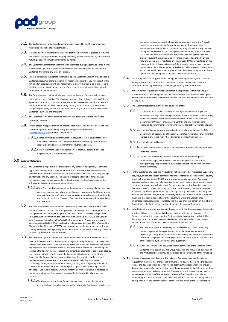

- 5.2. The Customer must provide certain information required by Pod Group to open an Account on Pod IoT Suite ("Registration").
- 5.3. It is the Customers responsibility to ensure that the information requested is complete and correct. The Registration of a legal person may only be carried out by an authorised natural person, who must be mentioned by name.
- 5.4. The Customer warrants that all information submitted during Registration (or as may be subsequently updated) is complete and correct. Pod Group will not be liable to the Customer if you make any error or omission.
- 5.5. Pod Group reserves the right to (i) refuse to open a Customer Account or (ii) to close a Customer Account, if there is a legitimate reason to believe that you will not act or has not acted in accordance with this Agreement. To clarify, this would be in the scenario that the customer was in breach of any of the terms and conditions that permitted termination of the agreement
- 5.6. The Customer may create multiple users under an Account. Each user will be given individual access credentials. The Customer warrants that all its users will abide by this Agreement terms and conditions or any subsequent new version and that all its users will duly act on behalf of the Customer. By creating an Account user, the Customer accepts responsibility for the acts and omissions of any of its user as if they were the Customer's own acts and omissions.
- 5.7. The Customer liable for all activities performed under and in connection with the Customer's Account.
- 5.8. In case of loss, misappropriation, or unauthorized use of the Customer's account, the Customer agrees to immediately notify Pod Group's support services ([sales@podgroup.com\)](mailto:support@podgroup.com) and the Customer will:
	- $5.8.1.$  Change all initial passwords which are assigned to it into passwords known only to the Customer. The Customer is required to carefully store its access credentials and to protect them from unauthorized access.
	- 5.8.2.Correct the information in Customer's Account immediately, if, after the Registration, that information changes.

#### 6.0 **Customer Obligations**

- $6.1.$  The Customer is responsible for ensuring that any hardware equipment, or software application running on that equipment, that uses a Product provided by Pod Group complies with any and all requirements of all networks and will not cause any damage or interruption to any network. The Customer accepts all liabilities for damage or interruption to any network caused as a direct result of the hardware equipment or software application running on that equipment.
	- $6.1.1$  . If the Customer is unsure whether the equipment or software being used may cause any damage to a network, the Customer may request Pod Group to gain approval from the MNO prior to use. Whether approval is sought is at the sole discretion of Pod Group. The cost of any verification service will be payable by the Customer.
- 6.2. The Customer will ensure that neither the content passed over the network nor the details of users or customers or other personal data held by the Customer pursuant to this Agreement will infringe the rights of any third parties or any laws or regulations (including, without limitation, the Data Protection Directive (95/46/EC), the General Data Protection Regulation (2016/679/EC), the Directive on Privacy and Electronic Communications (2002/58/EC), the Electronic Commerce Directive (00/31/EC) and the Distance Selling Directive (97/7/EC)), and any national implementations thereof, in any country where any message is originated, delivered or in respect of which any of service provided by the Product are performed.
- 6.3. The Customer agrees to comply with any reasonable instructions as Pod Group may from time to time notify to the Customer in regard to using the Product. However, even without such instructions, the Customer warrants and represents that it will not breach any applicable laws, standards or codes, including but not limited to "SIM boxing", or infringe a third party's rights, or breach any content requirements or codes stipulated by any relevant authority. Furthermore, the Customer will refrain, and prevent others, from using the Product for any purpose other than that intended by the relevant telecommunications operator, in any way whatsoever, including "annoyance", "spamming" or any other form of harassment, creating, or having third parties create, connections with buy lines (090x numbers) on a large scale or committing criminal offences or use the Product in a way which interferes with other users or harasses or restricts any other user from using or enjoying the hosting MNO network or the internet.
	- $6.3.1.$  The Customer will be liable for any damage, costs or usage (at standard overuse rates or the rates charged by the network to Pod Group – whichever is

the higher), arising as a result of unlawful or fraudulent use of the Product, regardless as to whether the Customer was aware of such use or not. Fraudulent use includes, but is not limited to, using the SIM in a way that was not agreed with Pod Group, including via satellite modem, WAP, voice, SMS, USSD, and use of an APN which was not provided by and agreed with Pod Group. Fraudulent use can only be prevented by cancelling the SIM off the network. Once a SIM is registered on the network (SIMs are registered on the network prior to delivery to Customer) there may be some services that are impossible to block. Therefore, whilst Pod Group will endeavour to ensure that all services are blocked when requested, use of any services apart from those agreed with Pod Group will be deemed to be fraudulent use.

- $6.4.$  The hosting MNO, as a supplier of Pod Group, has an independent right to claim for damages suffered as a result of the Customer's failure to comply with clause 6.3. Therefore, the hosting MNO may claim damages directly from the Customer.
- 6.5. If the Customer requests any functionality that is not provided within Pod Group's standard Products, Pod Group will provide a quote for the work required. Only upon written confirmation by the Customer to proceed will Pod Group undertake and invoice for this work.
- 6.6. The Customer represents, warrants and covenants that it:
	- $6.6.1$ . Is compliant in all respects relevant to this Agreement with all applicable sanction or embargo laws and regulations in effect from time to time, including trade and economic sanctions maintained by the United States Treasury Department's Office of Foreign Assets Control, and any other enabling legislation or government order relating thereto (collectively "Sanction Laws").
	- 6.6.2.Is not listed on or owned or controlled by an entity or person on, the U.S. Department of Treasury list of Specially Designated Nationals or any similar list in place in any jurisdiction where Customer is conducting business.
	- 6.6.3.Is not a Restricted Persons.
	- 6.6.4.Will take all such steps as prudent to ensure that it will not provide Product to Restricted Persons.
	- 6.6.5.Will not use the Product, or allow them to be used, for any purposes prohibited by applicable Sanction Laws, including nuclear, chemical, or biological weapons proliferation, dual-usage applications, or development of missile technology.
- 6.7. For the avoidance of doubt, the Product may not be exported or reexported Cuba, Iran, Iraq, Libya, Sudan, the Taliban-controlled regions of Afghanistan or to any other country to which the United States, UK, EU, and any other jurisdiction in which Pod Group operates, prohibits the export of goods, technology or services or to nationals of those countries, wherever located. Moreover, Products may not be distributed to persons on the Table of Denial Orders, the Entity List, or the List of Specially Designated Nationals maintained by the U.S. government. By accessing or using the Products, including the website, and Pod IoT Suite, that you are certifying that you are not a national of one of the above-listed countries or of any other country to which the United States embargoes goods, services or technology and that you are not a person on the Table of Denial Orders, the Entity List, or the List of Specially Designated Nationals.
- 6.8. Notwithstanding any other provision in this Agreement, Pod Group reserves the right to terminate this Agreement immediately upon written notice to the Customer if Pod Group reasonably determines that the Customer is not in compliance with this Clause 6.0 or that its actions are or may cause Pod Group to be exposed to prosecution or liability for violation of Sanction Laws or any other applicable law.
	- 6.8.1.The Customer agrees to indemnify and hold Pod Group (and its Affiliates) harmless against all damages, losses, claims, liabilities, settlements and expenses (including without limitation costs and legal fees) connected with the Customer's alleged failure to comply with the Sanctions Laws or otherwise use of the Products by the Customer or its customers.
	- 6.8.2.While Pod Group has no obligation to monitor the use of the Products by the Customer or its customers, Pod Group may do so and may prohibit any use of the Products it believes may be (or alleged to be) in violation of the foregoing.
- 6.9. In order to preserve the integrity of the network, Pod Group reserves the right to request that the Customer changes the firmware of its device, discontinue the device or replace the device so that it does not stop and start authentication requests and/or data session requests (including retries) more than on average thirty (30) times per hour over any consecutive twelve-hour period. If requested, the firmware change needs to be completed within five (5) working days otherwise Pod Group has the right to immediately and without notice cease the use of that SIM card and Pod Group will not be responsible for any consequential or other costs as a result of the SIM's cessation.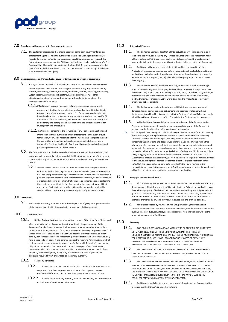

#### 7.0 **Compliance with requests with Government Agencies**

 $7.1.$  The Customer understands that should a request come from governmental or law enforcement agencies, with the authority to require Pod Group (or its Affiliates) to report information related to your services or should law enforcement request this information or access pursuant to CALEA or the Patriot Act (collectively "Agency"), Pod Group will be obligated to cooperate and disclose this information in accord with the laws of the applicable jurisdiction. The Customer consents to Pod Group providing any such information to the Agency.

#### 8.0 **Inappropriate use and/or conduct as cause for termination or breach of agreements**

- 8.1. You agree to use the Products for lawful purposes only. You will use best commercial efforts to prevent third parties from using the Products in any way that is unlawful, harmful, threatening, libellous, deceptive, fraudulent, abusive, harassing, defamatory, vulgar, obscene, sexually explicit, profane, hateful, discriminatory, or other objectionable material of any kind, including, without limitation, material that encourages unlawful conduct.
	- $8.1.1$ . If Pod Group , has good reason to believe that customer has purposely engaged in, intentionally permitted, or negligently allowed third parties to engage in any of the foregoing conduct, Pod Group reserves the right to (i) immediately suspend or terminate any service it provides to you; and/or (ii) forward the offensive materials, your communications with Pod Group, and your identity and other personal information to the proper authorities for investigation and prosecution.
	- 8.1.2. The Customer consents to the forwarding of any such communications and information to these authorities or law enforcement. In the event of such termination, you will be responsible for the full month's charges to the end of the current term, including, without limitation, unbilled charges, plus a termination fee, if applicable, all of which will become immediately due and payable upon termination of your Service.
- 8.2. The Customer, and if applicable its resellers, sub-customers and their sub-clients, and end-users, will be solely liable for any and all liability that may arise out of the content transmitted to any person, whether authorized or unauthorized, using your service or device.
	- $8.2.1.$  You will ensure that the use of the Products and content comply at all times with all applicable laws, regulations and written and electronic instructions for use. Pod Group reserves the right to terminate or suspend the services which it provides to you and remove your content from its Products, if we determine, in our sole and absolute discretion, that such use or content does not conform to the requirements set forth in this Agreement or interferes with our ability to provide the Products to you or others. Our action, or inaction, under this section will not constitute any review or approval of your use or content

#### 9.0 **Description**

9.1. Pod Group's marketing materials are for the sole purpose of giving an approximate idea of the matters described in them and will not form part of this Agreement.

#### 10.0 **Confidentiality**

10.1. Neither Party will without the prior written consent of the other Party (during and after termination of this Agreement) use (other than in the performance of this Agreement) or divulge or otherwise disclose to any other person other than to their professional advisers, directors, officers or employees (collectively "Representatives") of whose province it is to know the same any Confidential Information received at any time by it in consequence of this Agreement (provided that those Representatives, only have a need to know about it and before doing so, the receiving Party must ensure that its Representatives are required to protect the Confidential Information), save that any obligations contained in this clause shall not apply in respect of any Confidential Information which is in or comes into the public domain other than as a result of any breach by the receiving Party of any duty of confidentiality or in respect of any disclosure required by law or any legal or regulatory authority.

#### 10.2. Each Party agrees to:

- $10.2.1.$  To take all reasonable steps to protect the Confidential Information. These steps must be at least as protective as those it takes to protect its own Confidential Information and no less than a reasonable standard of care.
- 10.2.2. To notify the other Party promptly upon discovery of any unauthorized use or disclosure of Confidential Information.

#### 11.0 **Intellectual Property**

- $11.1.$  The Customer acknowledges that all Intellectual Property Rights arising in or in relation to the Products, including any services delivered under this Agreement will at all times belong to Pod Group (or, as applicable, its licensors), and the Customer will have no rights in or to the same other than the limited rights set out in this Agreement.
- $11.2.$  Pod Group will own and retain all right, title and interest in and to (a) the Products, all improvements, enhancements or modifications thereto, (b) any software, applications, derivative works, inventions or other technology developed in connection with the Products or support, and (c) all Intellectual Property Rights related to any of the foregoing.
- $11.3.$  The Customer will not, directly or indirectly, and will not permit or encourage others to: reverse engineer, decompile, disassemble or otherwise attempt to discover the source code, object code or underlying structure, ideas, know-how or algorithms, or otherwise relevant to the Products, documentation or data related to the Products; modify, translate, or create derivative works based on the Products; or remove any proprietary notices or labels.
- 11.4. The Customer agrees to indemnify and hold Pod Group harmless against all damages, losses, claims, liabilities, settlements and expenses (including without limitation costs and legal fees) connected with the Customer's alleged failure to comply with this section or otherwise use of the Products by the Customer or its customers.
- 11.5. While Pod Group has no obligation to monitor the use of the Products by the Customer or its customers, it may do so and may prohibit any use of the Products it believes may be (or alleged to be) in violation of the foregoing.
- 11.6. Pod Group will have the right to collect and analyse data and other information relating to the provision, use and performance of various aspects of the Products (including software), systems and technologies (including, without limitation, information concerning Customer data and data derived therefrom), and Pod Group will be free (during and after the term hereof) to (i) use such information and data to improve and enhance its Products and for other development, diagnostic and corrective purposes in connection with the Products and other Pod Group offerings, and (ii) disclose such data solely in aggregate or other de-identified form in connection with its business. The Customer will procure all necessary rights from its customers to give full force and effect to this Clause. No rights or licenses are granted except as expressly set forth herein. Note, that this clause only applies to data stored in Pod IoT suite relating to the connectivity and subscription management. Pod Group does not sit in the data path and will collect no patient data relating to the customers application.

#### 12.0 **Copyright and Trademark Notice**

- 12.1. All corporate names, service marks, logos, trade names, trademarks, websites and domain names of Pod Group and its Affiliates (collectively "Marks") are and will remain the exclusive property of Pod Group and its Affiliates and nothing in this Agreement will grant the Customer or any third party the license to use such Marks. Any reproduction or redistribution of the Products not in accordance with the terms set forth herein is expressly prohibited by law and may result in severe civil and criminal penalties.
- 12.2. You expressly agree by your use of Pod Group's website (or any connected content) that you will not otherwise broadcast, download, modify, make available to the public, post, reproduce, sell, store, or transmit content from the website without the prior written approval of Pod Group.

#### 13.0 **Warranty**

- 13.1. POD GROUP DOES NOT MAKE ANY WARRANTIES OF ANY KIND, FITHER EXPRESS OR IMPLIED, INCLUDING WITHOUT LIMITATION WARRANTIES OF TITLE OR NONINFRINGEMENT, OR ANY IMPLIED WARRANTIES OR MERCHANTABILITY OR FITNESS FOR A PARTICULAR PURPOSE WITH REGARD TO THE SERVICES OR DEVICE, ANY TRANSACTION PERFORMED THROUGH THE PRODUCTS OR ON THE INTERNET GENERALLY, OR AS TO THE QUALITY OF THE CALL OR CONNECTION.
- 13.2. POD GROUP WILL NOT BE LIABLE FOR ANY COST OR DAMAGE ARISING FITHER DIRECTLY OR INDIRECTLY FROM ANY SUCH TRANSACTION, USE OF THE PRODUCTS, SERVICE AND/OR DEVICE.
- 13.3. POD GROUP DOES NOT WARRANT THAT THE PRODUCTS, SERVICE AND/OR DEVICE WILL BE UNINTERRUPTED OR ERROR-FREE (INCLUDING BUT NOT LIMITED TO THE FAULT FREE WORKING OF NETWORKS), OR WILL OPERATE WITHOUT FAILURE, PACKET LOSS, DEGRADATION OR INTERRUPTION NOR DOES POD GROUP WARRANT ANY CONNECTION TO OR ANY TRANSMISSION OVER THE INTERNET OR THAT ANY DEFECTS IN THE PRODUCTS, SERVICES OR MATERIALS WILL BE CORRECTED.
- 13.4. Pod Group is not liable for any service or proof of service of the Customer, which is carried over Pod Group's or any other network.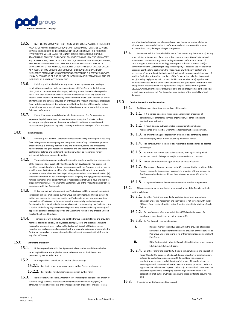

- 13.5. NEITHER POD GROUP NOR ITS OFFICERS, DIRECTORS, EMPLOYEES, AFFILIATES OR AGENTS, OR ANY OTHER SERVICE PROVIDER OR VENDOR WHO FURNISHES SERVICES, DEVICES, OR PRODUCTS TO THE CUSTOMER IN CONNECTION WITH THE PRODUCTS ("PROVIDERS"), WILL BE LIABLE FOR UNAUTHORIZED ACCESS TO OUR OR YOUR TRANSMISSION FACILITIES OR PREMISES EQUIPMENT OR FOR UNAUTHORIZED ACCESS TO, OR ALTERATION, THEFT OR DESTRUCTION OF, CUSTOMER'S DATA FILES, PROGRAMS, PROCEDURES OR INFORMATION THROUGH ACCIDENT, FRAUDULENT MEANS OR DEVICES OR ANY OTHER METHOD, REGARDLESS OF WHETHER SUCH DAMAGE OCCURS AS A RESULT OF POD GROUP'S OR ITS PRODUCT OR PROVIDER'S OR VENDORS' NEGLIGENCE. STATEMENTS AND DESCRIPTIONS CONCERNING THE SERVICE OR DEVICE, IF ANY, BY POD GROUP OR OUR AGENTS OR INSTALLERS ARE INFORMATIONAL AND ARE NOT GIVEN AS A WARRANTY OF ANY KIND.
- $13.6.$  Pod Group will not be liable for any losses caused by an operator ceasing or terminating any services. Under no circumstances will Pod Group be liable for any direct, indirect or consequential damages, including but not limited to damages that result from the Customer or any user's use of or inability to access any part of the Product or the Product's functionality, or the Customer or any user's reliance on or use of information and services provided on or through the Product or damages that result from mistakes, omissions, interruptions, loss, theft, or deletion of files, packet data or other information, errors, viruses, defects, delays in operation or transmission, or any failure of performance.
- 13.7. Except if expressly stated elsewhere in the Agreement, Pod Group makes no express or implied warranty or representation concerning the Products, or their accuracy or completeness and therefore excludes all conditions, warranties and representations (express or implied), statutory or otherwise in respect of the Products.

#### 14.0 **Indemnification**

- 14.1. Pod Group will hold the Customer harmless from liability to third parties resulting from infringement by any copyright or misappropriation of any trade secret, provided that Pod Group is promptly notified of any and all threats, claims and proceedings related thereto and given reasonable assistance and the opportunity to assume sole control over defence and settlement. Pod Group will not be responsible for any settlement it does not approve in writing.
- 14.2. These obligations do not apply with respect to goods, or portions or components of the Products (i) not supplied by Pod Group, (ii) not developed by Pod Group, (iii) modified or made in whole or in part in accordance with the Customer's instructions or specifications, (iv) that are modified after delivery, (v) combined with other products, processes or materials where the alleged infringement relates to such combination, (vi) where the Customer (or its customers) continues allegedly infringing activity after being notified thereof or after being informed of modifications that would have avoided the alleged infringement, or (vii) where the Customer's use of the Products is not strictly in accordance with this Agreement.
- 14.3. If, due to a claim of infringement, the Products are held by a court of competent jurisdiction to be or are believed by Pod Group to be infringing, Pod Group may, at its option and expense (a) replace or modify the Products to be non-infringing provided that such modification or replacement contains substantially similar features and functionality, (b) obtain for the Customer a licence to continue using the Products, or (c) if neither of the foregoing is commercially practicable, terminate this Agreement (or if applicable purchase order) and provide the Customer a refund of any prepaid, unused fees for the affected Products.
- 14.4. The Customer will indemnify and hold Pod Group (and its Affiliates and providers) harmless against all actions, claims, losses, damages, costs and expenses (including reasonable attorneys' fees) related to the Customer's breach of this Agreement, including any negligent, grossly negligent, wilful or unlawful actions or omissions by the Customer, or any claim or proceeding raised from its customers against Pod Group (or any of its Affiliates).

#### 15.0 **Limitations of Liability**

- $15.1.$  Unless expressly stated in this Agreement all warranties, conditions and other terms implied by statute, applicable law or otherwise are, to the fullest extent permitted by law, excluded from it.
- $15.2.$  Nothing will limit or exclude the liability of either Party:
	- $15.2.1.$  For death or personal injury caused by that Party's negligence; or
	- 15.2.2. For fraud or fraudulent misrepresentation by that Party.
- 15.3. Neither Party will be liable, whether in tort (including for negligence or breach of statutory duty), contract, misrepresentation (whether innocent or negligent) or otherwise for loss of profits; loss of business; depletion of goodwill or similar losses;

loss of anticipated savings; loss of goods; loss of use; loss or corruption of data or information; or any special, indirect, performance related, consequential or pure economic loss, costs, damages, charges or expenses.

15.4. In no event will Pod Group be liable to the Customer or any third-party, (a) for any error or interruption or loss of use, loss or inaccuracy or corruption of data, delays in operation or transmission, any failure or degradation or performance, or cost of substitute goods, services or technology, interruption or loss of business, or (b) in connection with the Customers (or any permitted party's) access or use or inability to access or use the alerts application, the Products, or any third party content and services, or (c) for any direct, indirect, special, incidental, or consequential damages of any kind (including lost profits) regardless of the firm of action, whether in contract, tort, (including negligence), strict product liability or otherwise, or (c) together with amounts associated with all other claims exceed the fees paid by the Customer to Pod Group for the Products under this Agreement in the past twelve months (or GBP £10,000, whichever is the lesser amount) prior to the act that gave rise to the liability), in each case, whether or not Pod Group has been advised of the possibility of such damages.

#### 16.0 **Service Suspension and Termination**

- 16.1. Pod Group may at any time suspend any of its service:
	- $16.1.1.$  If it is obliged to comply with an order, instruction or request of government, or emergency services organisation, or other competent administrative authority.
	- $16.1.2$ . It needs to carry out work related to exceptional upgrading or maintenance of its facilities where those facilities must cease operation.
	- 16.1.3. To prevent damage or degradation of Pod Group's contracting party's network integrity which may be caused by whichever reason.
	- $16.1.4.$  For behaviour that in Pod Group's reasonable discretion may be deemed to be illegal.
	- 16.1.5. To protect Pod Group, at its sole discretion, from legal liability which relates to a breach of obligation and/or warranties by the Customer.
	- $16.1.6.$  In case of notifications or signs of fraud or abuse of service.
	- 16.1.7. The services of one or more of the MNOs upon which the provision of the Product hereunder is dependent suspends its provision of those services to Pod Group under the terms of its or their relevant agreement(s) with Pod Group.
	- 16.1.8. If payments have not been made in accordance with this Agreement.
- $16.2.$  This Agreement may be terminated prior to expiration of the Term by notice in writing as follows:
	- 16.2.1. By either Party if the other Party has failed to perform any material obligation under this Agreement and such failure is not corrected with thirty (30) days from receipt of written notice from the other Party advising of such failure.
	- 16.2.2. By the Customer after a period of thirty (30) days in the event of a significant change in price, as set out in clause 4.11.
	- 16.2.3. By Pod Group by immediate notice:
		- i. In the or more of the MNOs upon which the provision of services hereunder is dependent terminates its provision of those services to Pod Group under the terms of its or their relevant agreement(s) with Pod Group.
		- ii. If the Customer is in Material Breach of its obligations under clauses 6.1, 6.2, 6.3, 6.5, 6.7, 6.9 above.
	- 16.2.4. By either Party if the other Party (being a company) enters into liquidation (other than for the purposes of a bona fide reconstruction or amalgamation), enters into a voluntary arrangement with its creditors, has a receiver, administrative receiver or administrator of all or any of its undertakings or assets appointed, or is deemed by the relevant statutory provisions under the applicable law to be unable to pay its debts or (if an individual) presents or has presented against him a bankruptcy petition or (if a non UK national or corporation) shall suffer anything analogous to these matters to occur to him or it.
- $16.3.$  If the Agreement is terminated (or expires):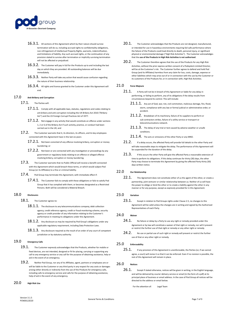

- $16.3.1.$  All sections of this Agreement which by their nature should survive termination will do so, including accrued rights to confidentiality obligations, non-infringement of Intellectual Property Rights, warrants, indemnification, and limitations of liability. Any such accrued rights, or the continuation of any provision stated to survive after termination or implicitly surviving termination will not be affected or prejudiced.
- 16.3.2. The Customer will pay in full for the Products up to and including the last day on which they are provided. All outstanding balances will be due immediately.
- 16.3.3. Neither Party will take any action that would cause confusion regarding the nature of their business relationship.
- 16.3.4. All rights and licence granted to the Customer under this Agreement will end.

#### 17.0 **Anti-Bribery and Corruption**

- 17.1. The Parties will
	- $17.1.1.$  Comply with all applicable laws, statutes, regulations and codes relating to ant-bribery and anti-corruption including the UK Bribery Act 2010 ("Bribery Act") and the US Foreign Corrupt Practices Act of 1977.
	- $17.1.2.$  Not engage in any activity that would constitute an offence under sections 1, 2 or 6 of the Bribery Act if such activity, practice, or conduct had been carried out in the UK; and
- 17.2. The Customer warrants that it, its directors, its officers, and its key employees connected with this Agreement have in the last six years:
	- $17.2.1.$  Not been convicted of any offence involving bribery, corruption or money laundering; o
	- 17.2.2. Not been or are connected with any investigation or proceedings by any government or regulatory body relating to an offence or alleged offence involving bribery, corruption or money laundering.
- 17.3. The Customer warrants that no Public Official will receive a benefit connected with this Agreement which would breach these terms, or which would subject Pod Group (or its Affiliates) to a fine or criminal liability.
- 17.4. Pod Group may terminate this Agreement, with immediate effect if:
	- 17.4.1. The Customer fails to comply with these obligations or fails to satisfy Pod Group that it has complied with them; or becomes designated as a Restricted Persons. Both will be considered a Material Breach.

#### 18.0 **Disclosures**

- 18.1. The Customer agrees to:
	- $18.1.1.$  The disclosure to any telecommunications company, debt collection agency, credit reference agency, credit or fraud monitoring scheme, security agency or credit provider of any information relating to the Customer's performance in meeting its obligations under this Agreement.
	- $18.1.2.$  Any disclosure as may be required by Pod Group's obligations under any applicable regulatory requirement, including Data Protection Laws.
	- $18.1.3.$  Any disclosure required as the result of an order of any court of competent jurisdiction or by statutory authority.

#### 19.0 **Emergency Calls**

- 19.1. The Customer expressly acknowledges that the Products, whether for mobile or fixed devices, are not intended, designed or fit for placing, carrying or supporting any call to any emergency service or any call for the purpose of obtaining assistance, help or aid in the event of an emergency.
- 19.2. Neither Pod Group, nor any of its Affiliates, agent, partners or employees are or will be liable to the Customer or any third party in any respect for any costs or damages arising either directly or indirectly from the use of the Products for emergency calls, including calls to emergency service and calls for the purpose of obtaining assistance, help of aid in the event of any emergency.

#### 20.0 **High Risk Use**

- 20.1. The Customer acknowledges that the Products are not designed, manufactured, or intended for use in hazardous environments requiring fail-safe performance where the failure of the Products could lead directly to death, personal injury, or significant physical or environmental damage ("High Risk Activities"). The Customer acknowledges that the **use of the Products in High Risk Activities is not authorised**.
- 20.2. The Customer therefore agrees that the use of the Products for any High Risk Activities, without the prior express written consent of a Podsystem Limited Director, will be at the Customer's risk. The Customer further agrees to defend and hold Pod Group (and its Affiliates) harmless from any claim for loss, costs, damage, expense or other liabilities which may arise out of or in connection with the use by the Customer or its customers of the Products for, or in connection with, High Risk Activities.

#### 21.0 **Force Majeure**

- 21.1. A Party will not be in breach of this Agreement or liable for any delay in performing, or failing to perform, any of its obligations if the delay results from circumstances beyond its control. This will include:
	- 21.1.1. Any act of God, war, riot, civil commotion, malicious damage, fire, flood, storm, compliance with any law or formal judicial or administrative order, or accident.
	- 21.1.2. Breakdown of its machinery, failure of its suppliers to perform or sub-contractors strikes, failure of a utility service or transport or telecommunications network.
	- 21.1.3. The delay of any trial or test caused by adverse weather or unsafe conditions.
	- 21.1.4. The acts or omissions of the other Party or any MNO.
- 21.2. If a delay occurs, the affected Party will provide full details to the other Party and will take reasonable steps to mitigate the delay. The performance of this Agreement will be suspended for the duration of the delay.
- 21.3. If this occurs the other Party will give the affected Party a reasonable extension of time to perform its obligations. If this delay continues for thirty (30) days, the other Party may choose to terminate this Agreement by giving the affected Party thirty (30) days written notice.

#### 22.0 **Our Relationship**

22.1. This Agreement does not constitute either of us the agent of the other, or create a partnership, joint venturer or similar relationship between us. Neither of us will have the power to oblige or bind the other or to create a liability against the other in any manner or for any purpose, except as expressly provided for in this Agreement.

#### 23.0 **Variation**

23.1. Except in relation to Pod Groups rights under Clause 2.5, no changes to this Agreement will be valid unless the changes are in writing and signed by the Authorised Representatives of each Party.

#### 24.0 **Waiver**

- 24.1. No failure or delay by a Party to use any right or remedy provided under this Agreement or by law will constitute a waiver of that right or remedy, nor will it prevent or restrict the further use of that right or remedy or any other right or remedy.
- 24.2. No use or partial use of such right or remedy will prevent or restrict the further use of that or any other right or remedy.

#### 25.0 **Enforceability**

25.1. If any provision of this Agreement is unenforceable, the Parties (or, if we cannot agree, a court) will revise it so that it can be enforced. Even if no revision is possible, the rest of this Agreement will remain in place.

#### 26.0 **Notices**

26.1. Except if stated otherwise, notices will be given in writing, in the English language, and will be delivered by courier delivery service or email (in the form of a pdf) at its principal place of business or email address. In the case of Pod Group all notices will be directed to the address or email below.

For the attention of: Legal Team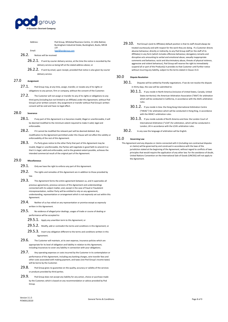

Address: Pod Group, Whiteleaf Business Centre, 11 Little Balmer, Buckingham Industrial Estate, Buckingham, Bucks, MK18 1TF Email: [legal@podgroup.com](mailto:legal@podgroup.com)

#### 26.2. Notices will be received:

- 26.2.1. If sent by courier delivery service, at the time the notice is recorded by the delivery service as being left at the stated address above; or
- 26.2.2. If sent by email, upon receipt, provided that notice is also given by courier delivery service.

#### 27.0 **Assignment**

27.1. Pod Group may, at any time, assign, transfer, or novate any of its rights or obligations to any person, firm or company, without the consent of the Customer.

27.2. The Customer will not assign or transfer its any of its rights or obligations to any third party (including but not limited to an Affiliate) under this Agreement, without Pod Group's prior written consent. Any assignment or transfer without Pod Group's written consent will be void and have no legal effect.

#### 28.0 **Severance**

- 28.1. If any part of this Agreement is or becomes invalid, illegal or unenforceable, it will be deemed modified to the minimum extent required to make it valid, legal and enforceable.
- 28.2. If it cannot be modified the relevant part will be deemed deleted. Any modification to the Agreement permitted under this Clause will not affect the validity or enforceability of the rest of this Agreement.
- 28.3. If a Party gives notice to the other Party that part of this Agreement may be invalid, illegal or unenforceable, the Parties will negotiate in good faith to amend it so that it is legal, valid and enforceable, and to the greatest extent possible, achieves the intended commercial result of the original part of the Agreement.

#### 29.0 **Miscellaneous**

- 29.1. Only we have the right to enforce any part of this Agreement
- 29.2. The rights and remedies of this Agreement are in addition to those provided by law.
- 29.3. This Agreement forms the entire agreement between us, and it supersedes all previous agreements, previous versions of this Agreement and understandings connected with its subject matter, and, except in the case of fraud or fraudulent misrepresentation, neither Party will be entitled to rely on any agreement, understanding, representation or arrangement which is not expressly set out within this Agreement.
- 29.4. Neither of us has relied on any representation or promise except as expressly written in this Agreement.
- 29.5. No evidence of alleged prior dealings, usages of trade or course of dealing or performance will be accepted to:
	- 29.5.1. Apply any unwritten term to this Agreement; or
	- 29.5.2. Modify, add or contradict the terms and conditions in this Agreement; or
	- 29.5.3. Insert any obligation different to the terms and conditions written in this Agreement.
- 29.6. The Customer will maintain, at its own expense, insurance policies which are appropriate for its level of obligation and liability in relation to this Agreement, including insurances to cover any liability in connection with your obligations.
- 29.7. Any operating expenses or costs incurred by the Customer in its contemplation or performance of this Agreement, including any banking charges, wire transfer fees and other costs associated with making payment, and taxes (not Pod Group's income taxes) will be borne by the Customer.
- 29.8. Pod Group gives no guarantee on the quality, accuracy or validity of the services or products provided by third parties.
- 29.9. Pod Group does not accept any liability for any action, choice or purchase made by the Customer, which is based on any recommendation or advice provided by Pod Group.

29.10. Pod Group's (and its Affiliates) default position is that its staff should always be treated courteously and with respect for the work they are doing. If a Customer directs abusive behaviour, directly or indirectly, to any Pod Group staff (or the staff of its Affiliates) in any form (which includes offensive behaviour, derogatory remarks and disruptive acts amounting to verbal and emotional abuse, sexually inappropriate comments and behaviour, racist and discriminatory abuse, threats of physical violence, aggressive and violent behaviour), Pod Group will reserve the right to immediately suspend all or part of the Product(s) it provides to that Customer until further notice without incurring any liability, subject to the terms stated in Clause 15.0.

#### 30.0 **Dispute Resolution**

- 30.1. Disputes will be settled by friendly negotiations. If we do not resolve the dispute in thirty days, the case will be submitted to:
	- 30.1.1. If you reside in North America (inclusive of United States, Canada, United States territories): the American Arbitration Association ("AAA") for arbitration which will be conducted in California, in accordance with the AAA's arbitration rules.
	- 30.1.2. If you reside in Asia: the Hong Kong International Arbitration Centre ("HKIAC") for arbitration which will be conducted in Hong King, in accordance with the HKIAC's arbitration rules.
	- 30.1.3. If you reside outside of North America and Asia: the London Court of International Arbitration ("LCIA") for arbitration, which will be conducted in London, UK in accordance with the LCIA's arbitration rules.
- 30.2. In any case the language of arbitration will be English.

#### 31.0 **Governing Law**

This Agreement and any disputes or claims connected with it (including non-contractual disputes or claims) will be governed by and construed in accordance with the laws of the jurisdiction stated at the beginning of the Agreement, without regard to conflicts of laws principles that would require the application of any other law. For the avoidance of doubt, United Nations Convention on the International Sale of Goods (UNCISG) will not apply to the Agreement.